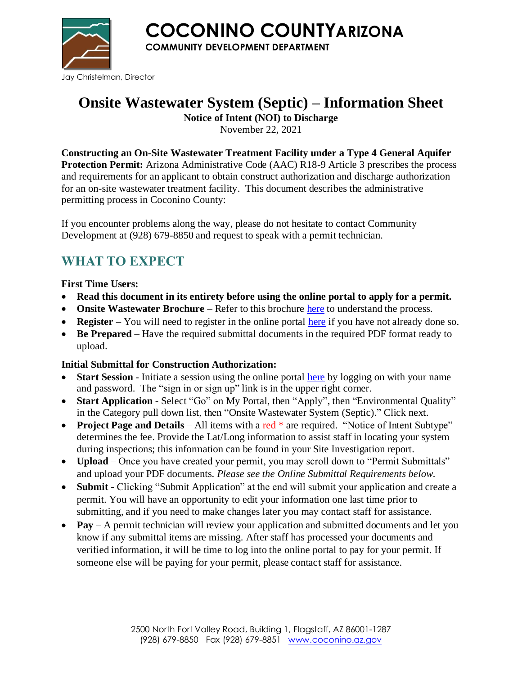

# **Onsite Wastewater System (Septic) – Information Sheet**

**Notice of Intent (NOI) to Discharge**

November 22, 2021

#### **Constructing an On-Site Wastewater Treatment Facility under a Type 4 General Aquifer**

**Protection Permit:** Arizona Administrative Code (AAC) R18-9 Article 3 prescribes the process and requirements for an applicant to obtain construct authorization and discharge authorization for an on-site wastewater treatment facility. This document describes the administrative permitting process in Coconino County:

If you encounter problems along the way, please do not hesitate to contact Community Development at (928) 679-8850 and request to speak with a permit technician.

# **WHAT TO EXPECT**

### **First Time Users:**

- **Read this document in its entirety before using the online portal to apply for a permit.**
- **Onsite Wastewater Brochure** Refer to this brochur[e here](https://www.coconino.az.gov/DocumentCenter/View/33223/Onsite-Wastewater-Process-Overview-2020) to understand the process.
- **Register** You will need to register in the online portal [here](https://co-coconino-az.smartgovcommunity.com/Public/Home) if you have not already done so.
- **Be Prepared** Have the required submittal documents in the required PDF format ready to upload.

# **Initial Submittal for Construction Authorization:**

- **Start Session** Initiate a session using the online portal [here](https://co-coconino-az.smartgovcommunity.com/Public/Home) by logging on with your name and password. The "sign in or sign up" link is in the upper right corner.
- **Start Application** Select "Go" on My Portal, then "Apply", then "Environmental Quality" in the Category pull down list, then "Onsite Wastewater System (Septic)." Click next.
- **Project Page and Details** All items with a red \* are required. "Notice of Intent Subtype" determines the fee. Provide the Lat/Long information to assist staff in locating your system during inspections; this information can be found in your Site Investigation report.
- **Upload**  Once you have created your permit, you may scroll down to "Permit Submittals" and upload your PDF documents. *Please see the Online Submittal Requirements below.*
- **Submit**  Clicking "Submit Application" at the end will submit your application and create a permit. You will have an opportunity to edit your information one last time prior to submitting, and if you need to make changes later you may contact staff for assistance.
- **Pay** A permit technician will review your application and submitted documents and let you know if any submittal items are missing. After staff has processed your documents and verified information, it will be time to log into the online portal to pay for your permit. If someone else will be paying for your permit, please contact staff for assistance.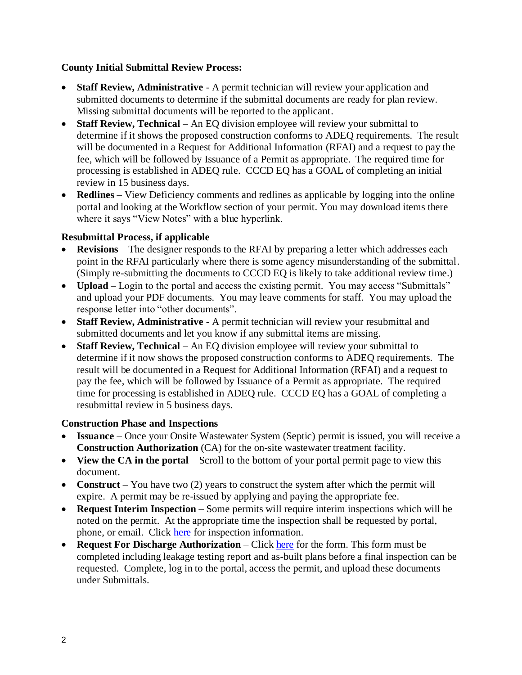#### **County Initial Submittal Review Process:**

- **Staff Review, Administrative** A permit technician will review your application and submitted documents to determine if the submittal documents are ready for plan review. Missing submittal documents will be reported to the applicant.
- **Staff Review, Technical** An EQ division employee will review your submittal to determine if it shows the proposed construction conforms to ADEQ requirements. The result will be documented in a Request for Additional Information (RFAI) and a request to pay the fee, which will be followed by Issuance of a Permit as appropriate. The required time for processing is established in ADEQ rule. CCCD EQ has a GOAL of completing an initial review in 15 business days.
- **Redlines** View Deficiency comments and redlines as applicable by logging into the online portal and looking at the Workflow section of your permit. You may download items there where it says "View Notes" with a blue hyperlink.

#### **Resubmittal Process, if applicable**

- **Revisions**  The designer responds to the RFAI by preparing a letter which addresses each point in the RFAI particularly where there is some agency misunderstanding of the submittal. (Simply re-submitting the documents to CCCD EQ is likely to take additional review time.)
- **Upload** Login to the portal and access the existing permit. You may access "Submittals" and upload your PDF documents. You may leave comments for staff. You may upload the response letter into "other documents".
- **Staff Review, Administrative**  A permit technician will review your resubmittal and submitted documents and let you know if any submittal items are missing.
- **Staff Review, Technical** An EQ division employee will review your submittal to determine if it now shows the proposed construction conforms to ADEQ requirements. The result will be documented in a Request for Additional Information (RFAI) and a request to pay the fee, which will be followed by Issuance of a Permit as appropriate. The required time for processing is established in ADEQ rule. CCCD EQ has a GOAL of completing a resubmittal review in 5 business days.

#### **Construction Phase and Inspections**

- **Issuance** Once your Onsite Wastewater System (Septic) permit is issued, you will receive a **Construction Authorization** (CA) for the on-site wastewater treatment facility.
- **View the CA in the portal** Scroll to the bottom of your portal permit page to view this document.
- **Construct** You have two (2) years to construct the system after which the permit will expire. A permit may be re-issued by applying and paying the appropriate fee.
- **Request Interim Inspection** Some permits will require interim inspections which will be noted on the permit. At the appropriate time the inspection shall be requested by portal, phone, or email. Click [here](https://www.coconino.az.gov/DocumentCenter/View/27699/EQ-Inspection-Area-Schedule-190204) for inspection information.
- **Request For Discharge Authorization** Clic[k here](https://www.coconino.az.gov/DocumentCenter/View/540) for the form. This form must be completed including leakage testing report and as-built plans before a final inspection can be requested. Complete, log in to the portal, access the permit, and upload these documents under Submittals.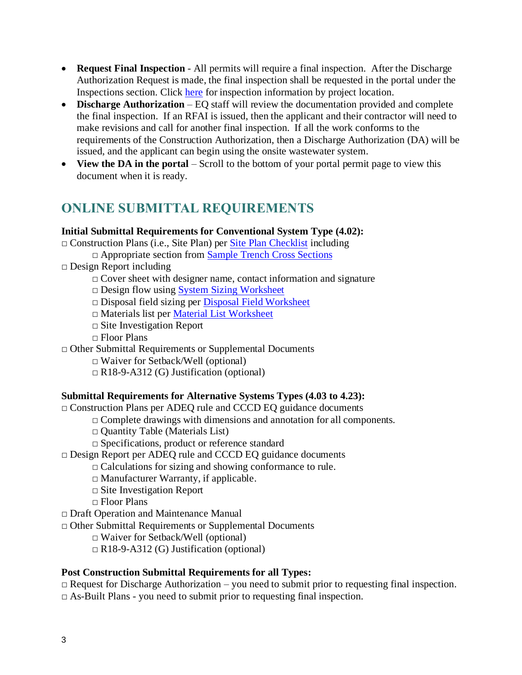- **Request Final Inspection** All permits will require a final inspection. After the Discharge Authorization Request is made, the final inspection shall be requested in the portal under the Inspections section. Clic[k here](https://www.coconino.az.gov/DocumentCenter/View/27699/EQ-Inspection-Area-Schedule-190204) for inspection information by project location.
- **Discharge Authorization** EQ staff will review the documentation provided and complete the final inspection. If an RFAI is issued, then the applicant and their contractor will need to make revisions and call for another final inspection. If all the work conforms to the requirements of the Construction Authorization, then a Discharge Authorization (DA) will be issued, and the applicant can begin using the onsite wastewater system.
- **View the DA in the portal** Scroll to the bottom of your portal permit page to view this document when it is ready.

# **ONLINE SUBMITTAL REQUIREMENTS**

#### **Initial Submittal Requirements for Conventional System Type (4.02):**

□ Construction Plans (i.e., Site Plan) per [Site Plan Checklist](https://www.coconino.az.gov/DocumentCenter/View/38714/EQ-Site-Plan-Checklist) including

□ Appropriate section from Sample [Trench Cross Sections](https://www.coconino.az.gov/DocumentCenter/View/38713/EQ-Sample-Trench-Cross-Sections)

- $\square$  Design Report including
	- $\Box$  Cover sheet with designer name, contact information and signature
	- □ Design flow using [System Sizing Worksheet](https://www.coconino.az.gov/DocumentCenter/View/38715/EQ-System-Sizing-Worksheet)
	- □ Disposal field sizing per [Disposal Field Worksheet](https://www.coconino.az.gov/DocumentCenter/View/38712/EQ-Disposal-Field-Worksheet)
	- □ Materials list pe[r Material List Worksheet](https://coconino.az.gov/DocumentCenter/View/39083/EQ-Material-List-201008)
	- □ Site Investigation Report
	- □ Floor Plans

□ Other Submittal Requirements or Supplemental Documents

□ Waiver for Setback/Well (optional)

 $\Box$  R18-9-A312 (G) Justification (optional)

# **Submittal Requirements for Alternative Systems Types (4.03 to 4.23):**

□ Construction Plans per ADEQ rule and CCCD EQ guidance documents

- $\Box$  Complete drawings with dimensions and annotation for all components.
	- $\Box$  Quantity Table (Materials List)
- □ Specifications, product or reference standard
- □ Design Report per ADEQ rule and CCCD EQ guidance documents
	- $\Box$  Calculations for sizing and showing conformance to rule.
	- □ Manufacturer Warranty, if applicable.
	- $\Box$  Site Investigation Report
	- □ Floor Plans
- □ Draft Operation and Maintenance Manual
- □ Other Submittal Requirements or Supplemental Documents
	- □ Waiver for Setback/Well (optional)
	- $\Box$  R18-9-A312 (G) Justification (optional)

# **Post Construction Submittal Requirements for all Types:**

 $\Box$  Request for Discharge Authorization – you need to submit prior to requesting final inspection.  $\Box$  As-Built Plans - you need to submit prior to requesting final inspection.